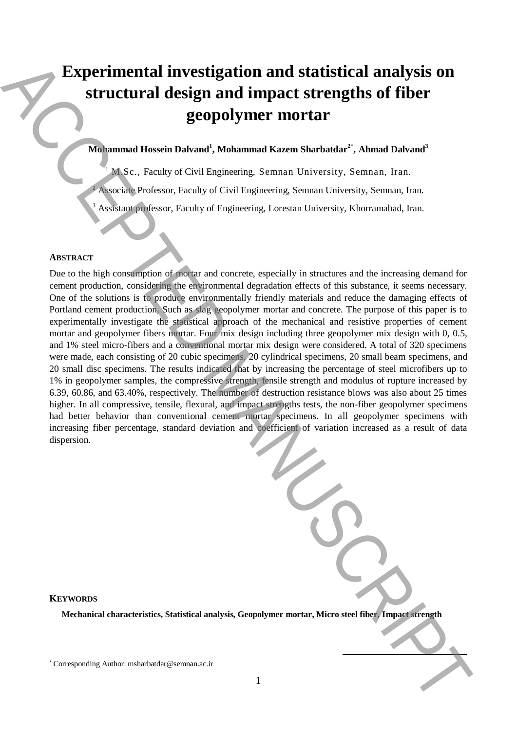# **Experimental investigation and statistical analysis on structural design and impact strengths of fiber geopolymer mortar**

# **Mohammad Hossein Dalvand<sup>1</sup> , Mohammad Kazem Sharbatdar<sup>2</sup>**\* **, Ahmad Dalvand<sup>3</sup>**

<sup>1</sup> M.Sc., Faculty of Civil Engineering, Semnan University, Semnan, Iran.

<sup>2</sup> Associate Professor, Faculty of Civil Engineering, Semnan University, Semnan, Iran.

<sup>3</sup> Assistant professor, Faculty of Engineering, Lorestan University, Khorramabad, Iran.

## **ABSTRACT**

Due to the high consumption of mortar and concrete, especially in structures and the increasing demand for cement production, considering the environmental degradation effects of this substance, it seems necessary. One of the solutions is to produce environmentally friendly materials and reduce the damaging effects of Portland cement production, Such as slag geopolymer mortar and concrete. The purpose of this paper is to experimentally investigate the statistical approach of the mechanical and resistive properties of cement mortar and geopolymer fibers mortar. Four mix design including three geopolymer mix design with 0, 0.5, and 1% steel micro-fibers and a conventional mortar mix design were considered. A total of 320 specimens were made, each consisting of 20 cubic specimens, 20 cylindrical specimens, 20 small beam specimens, and 20 small disc specimens. The results indicated that by increasing the percentage of steel microfibers up to 1% in geopolymer samples, the compressive strength, tensile strength and modulus of rupture increased by 6.39, 60.86, and 63.40%, respectively. The number of destruction resistance blows was also about 25 times higher. In all compressive, tensile, flexural, and impact strengths tests, the non-fiber geopolymer specimens had better behavior than conventional cement mortar specimens. In all geopolymer specimens with increasing fiber percentage, standard deviation and coefficient of variation increased as a result of data dispersion. Experimental investigation and statistical analysis on<br>structural design and impact strengths of fiber<br>geopolymer motivar states of the more states of the corresponding Author: experimental the<br>semi-value of continental t

**KEYWORDS**

**Mechanical characteristics, Statistical analysis, Geopolymer mortar, Micro steel fiber, Impact strength**

**.**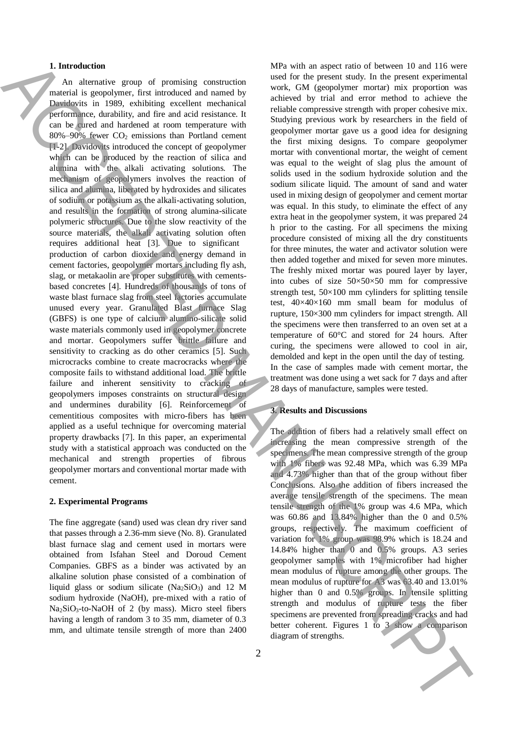#### **1. Introduction**

An alternative group of promising construction material is geopolymer, first introduced and named by Davidovits in 1989, exhibiting excellent mechanical performance, durability, and fire and acid resistance. It can be cured and hardened at room temperature with  $80\% - 90\%$  fewer  $CO<sub>2</sub>$  emissions than Portland cement [1-2]. Davidovits introduced the concept of geopolymer which can be produced by the reaction of silica and alumina with the alkali activating solutions. The mechanism of geopolymers involves the reaction of silica and alumina, liberated by hydroxides and silicates of sodium or potassium as the alkali-activating solution, and results in the formation of strong alumina-silicate polymeric structures. Due to the slow reactivity of the source materials, the alkali activating solution often requires additional heat [3]. Due to significant production of carbon dioxide and energy demand in cement factories, geopolymer mortars including fly ash, slag, or metakaolin are proper substitutes with cementsbased concretes [4]. Hundreds of thousands of tons of waste blast furnace slag from steel factories accumulate unused every year. Granulated Blast furnace Slag (GBFS) is one type of calcium alumino-silicate solid waste materials commonly used in geopolymer concrete and mortar. Geopolymers suffer brittle failure and sensitivity to cracking as do other ceramics [5]. Such microcracks combine to create macrocracks where the composite fails to withstand additional load. The brittle failure and inherent sensitivity to cracking of geopolymers imposes constraints on structural design and undermines durability [6]. Reinforcement of cementitious composites with micro-fibers has been applied as a useful technique for overcoming material property drawbacks [7]. In this paper, an experimental study with a statistical approach was conducted on the mechanical and strength properties of fibrous geopolymer mortars and conventional mortar made with cement. Is both continue of experimental the strength of the strength of the strength of the strength of the strength of the strength of the strength of the strength of the strength of the strength of the strength of the strength

#### **2. Experimental Programs**

The fine aggregate (sand) used was clean dry river sand that passes through a 2.36-mm sieve (No. 8). Granulated blast furnace slag and cement used in mortars were obtained from Isfahan Steel and Doroud Cement Companies. GBFS as a binder was activated by an alkaline solution phase consisted of a combination of liquid glass or sodium silicate  $(Na<sub>2</sub>SiO<sub>3</sub>)$  and 12 M sodium hydroxide (NaOH), pre-mixed with a ratio of Na2SiO3-to-NaOH of 2 (by mass). Micro steel fibers having a length of random 3 to 35 mm, diameter of 0.3 mm, and ultimate tensile strength of more than 2400

2

MPa with an aspect ratio of between 10 and 116 were used for the present study. In the present experimental work, GM (geopolymer mortar) mix proportion was achieved by trial and error method to achieve the reliable compressive strength with proper cohesive mix. Studying previous work by researchers in the field of geopolymer mortar gave us a good idea for designing the first mixing designs. To compare geopolymer mortar with conventional mortar, the weight of cement was equal to the weight of slag plus the amount of solids used in the sodium hydroxide solution and the sodium silicate liquid. The amount of sand and water used in mixing design of geopolymer and cement mortar was equal. In this study, to eliminate the effect of any extra heat in the geopolymer system, it was prepared 24 h prior to the casting. For all specimens the mixing procedure consisted of mixing all the dry constituents for three minutes, the water and activator solution were then added together and mixed for seven more minutes. The freshly mixed mortar was poured layer by layer, into cubes of size 50×50×50 mm for compressive strength test,  $50\times100$  mm cylinders for splitting tensile test, 40×40×160 mm small beam for modulus of rupture, 150×300 mm cylinders for impact strength. All the specimens were then transferred to an oven set at a temperature of 60°C and stored for 24 hours. After curing, the specimens were allowed to cool in air, demolded and kept in the open until the day of testing. In the case of samples made with cement mortar, the treatment was done using a wet sack for 7 days and after 28 days of manufacture, samples were tested.

## **3. Results and Discussions**

The addition of fibers had a relatively small effect on increasing the mean compressive strength of the specimens. The mean compressive strength of the group with 1% fibers was 92.48 MPa, which was 6.39 MPa and 4.73% higher than that of the group without fiber Conclusions. Also the addition of fibers increased the average tensile strength of the specimens. The mean tensile strength of the 1% group was 4.6 MPa, which was 60.86 and 13.84% higher than the 0 and 0.5% groups, respectively. The maximum coefficient of variation for 1% group was 98.9% which is 18.24 and 14.84% higher than 0 and 0.5% groups. A3 series geopolymer samples with 1% microfiber had higher mean modulus of rupture among the other groups. The mean modulus of rupture for A3 was 63.40 and 13.01% higher than 0 and 0.5% groups. In tensile splitting strength and modulus of rupture tests the fiber specimens are prevented from spreading cracks and had better coherent. Figures 1 to 3 show a comparison